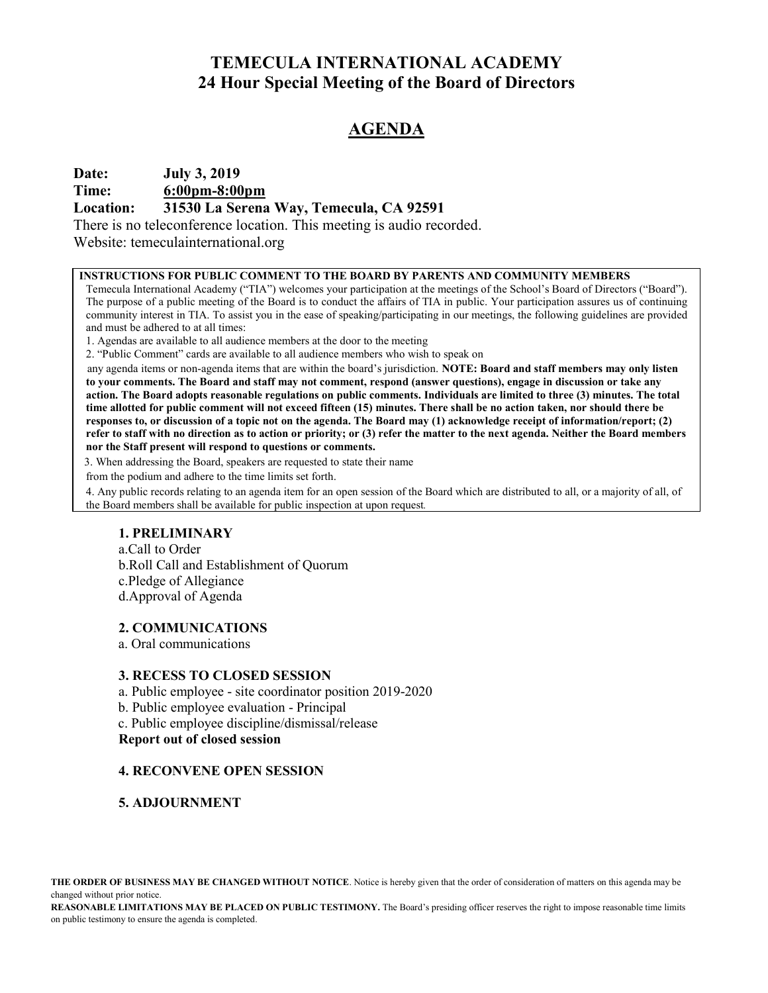# TEMECULA INTERNATIONAL ACADEMY 24 Hour Special Meeting of the Board of Directors

# AGENDA

## Date: July 3, 2019

Time: 6:00pm-8:00pm

### Location: 31530 La Serena Way, Temecula, CA 92591

There is no teleconference location. This meeting is audio recorded.

Website: temeculainternational.org

#### INSTRUCTIONS FOR PUBLIC COMMENT TO THE BOARD BY PARENTS AND COMMUNITY MEMBERS

Temecula International Academy ("TIA") welcomes your participation at the meetings of the School's Board of Directors ("Board"). The purpose of a public meeting of the Board is to conduct the affairs of TIA in public. Your participation assures us of continuing community interest in TIA. To assist you in the ease of speaking/participating in our meetings, the following guidelines are provided and must be adhered to at all times:

1. Agendas are available to all audience members at the door to the meeting

2. "Public Comment" cards are available to all audience members who wish to speak on

any agenda items or non-agenda items that are within the board's jurisdiction. NOTE: Board and staff members may only listen to your comments. The Board and staff may not comment, respond (answer questions), engage in discussion or take any action. The Board adopts reasonable regulations on public comments. Individuals are limited to three (3) minutes. The total time allotted for public comment will not exceed fifteen (15) minutes. There shall be no action taken, nor should there be responses to, or discussion of a topic not on the agenda. The Board may (1) acknowledge receipt of information/report; (2) refer to staff with no direction as to action or priority; or (3) refer the matter to the next agenda. Neither the Board members nor the Staff present will respond to questions or comments.

3. When addressing the Board, speakers are requested to state their name

from the podium and adhere to the time limits set forth.

4. Any public records relating to an agenda item for an open session of the Board which are distributed to all, or a majority of all, of the Board members shall be available for public inspection at upon request.

### 1. PRELIMINARY

a.Call to Order b.Roll Call and Establishment of Quorum c.Pledge of Allegiance d.Approval of Agenda

### 2. COMMUNICATIONS

a. Oral communications

### 3. RECESS TO CLOSED SESSION

- a. Public employee site coordinator position 2019-2020
- b. Public employee evaluation Principal
- c. Public employee discipline/dismissal/release

#### Report out of closed session

### 4. RECONVENE OPEN SESSION

5. ADJOURNMENT

REASONABLE LIMITATIONS MAY BE PLACED ON PUBLIC TESTIMONY. The Board's presiding officer reserves the right to impose reasonable time limits on public testimony to ensure the agenda is completed.